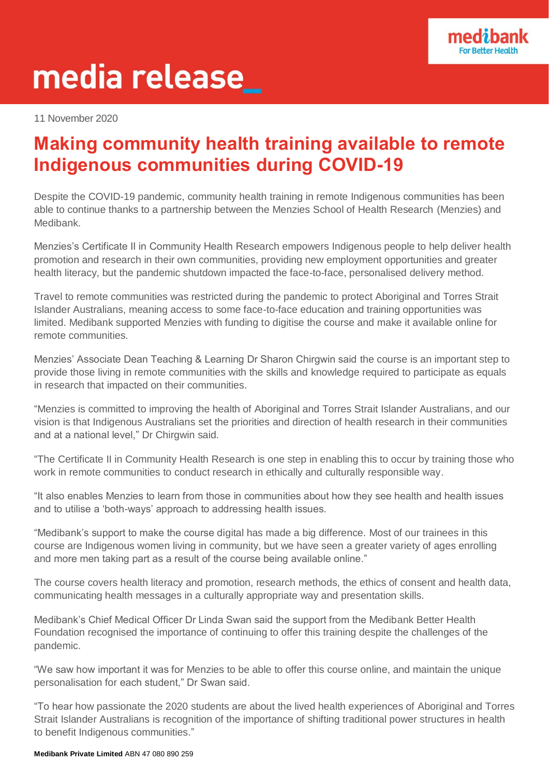

# media release\_

11 November 2020

# **Making community health training available to remote Indigenous communities during COVID-19**

Despite the COVID-19 pandemic, community health training in remote Indigenous communities has been able to continue thanks to a partnership between the Menzies School of Health Research (Menzies) and Medibank.

Menzies's Certificate II in Community Health Research empowers Indigenous people to help deliver health promotion and research in their own communities, providing new employment opportunities and greater health literacy, but the pandemic shutdown impacted the face-to-face, personalised delivery method.

Travel to remote communities was restricted during the pandemic to protect Aboriginal and Torres Strait Islander Australians, meaning access to some face-to-face education and training opportunities was limited. Medibank supported Menzies with funding to digitise the course and make it available online for remote communities.

Menzies' Associate Dean Teaching & Learning Dr Sharon Chirgwin said the course is an important step to provide those living in remote communities with the skills and knowledge required to participate as equals in research that impacted on their communities.

"Menzies is committed to improving the health of Aboriginal and Torres Strait Islander Australians, and our vision is that Indigenous Australians set the priorities and direction of health research in their communities and at a national level," Dr Chirgwin said.

"The Certificate II in Community Health Research is one step in enabling this to occur by training those who work in remote communities to conduct research in ethically and culturally responsible way.

"It also enables Menzies to learn from those in communities about how they see health and health issues and to utilise a 'both-ways' approach to addressing health issues.

"Medibank's support to make the course digital has made a big difference. Most of our trainees in this course are Indigenous women living in community, but we have seen a greater variety of ages enrolling and more men taking part as a result of the course being available online."

The course covers health literacy and promotion, research methods, the ethics of consent and health data, communicating health messages in a culturally appropriate way and presentation skills.

Medibank's Chief Medical Officer Dr Linda Swan said the support from the Medibank Better Health Foundation recognised the importance of continuing to offer this training despite the challenges of the pandemic.

"We saw how important it was for Menzies to be able to offer this course online, and maintain the unique personalisation for each student," Dr Swan said.

"To hear how passionate the 2020 students are about the lived health experiences of Aboriginal and Torres Strait Islander Australians is recognition of the importance of shifting traditional power structures in health to benefit Indigenous communities."